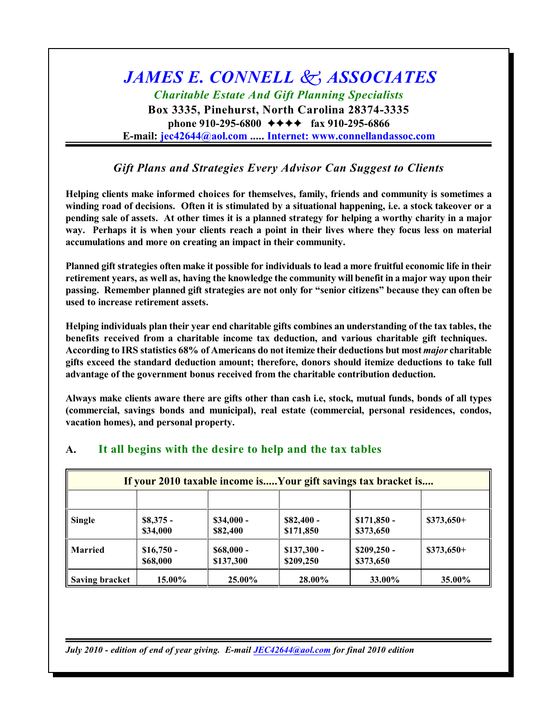# *JAMES E. CONNELL k ASSOCIATES Charitable Estate And Gift Planning Specialists*

**Box 3335, Pinehurst, North Carolina 28374-3335 phone 910-295-6800**  $\leftrightarrow \leftrightarrow \leftrightarrow$  fax 910-295-6866 **E-mail: jec42644@aol.com ..... Internet: [www.connellandassoc.com](mailto:jec42644@aol.com....Internet:)**

## *Gift Plans and Strategies Every Advisor Can Suggest to Clients*

**Helping clients make informed choices for themselves, family, friends and community is sometimes a winding road of decisions. Often it is stimulated by a situational happening, i.e. a stock takeover or a pending sale of assets. At other times it is a planned strategy for helping a worthy charity in a major way. Perhaps it is when your clients reach a point in their lives where they focus less on material accumulations and more on creating an impact in their community.**

**Planned gift strategies often make it possible for individuals to lead a more fruitful economic life in their retirement years, as well as, having the knowledge the community will benefit in a major way upon their passing. Remember planned gift strategies are not only for "senior citizens" because they can often be used to increase retirement assets.**

**Helping individuals plan their year end charitable gifts combines an understanding of the tax tables, the benefits received from a charitable income tax deduction, and various charitable gift techniques. According to IRS statistics 68% of Americans do not itemize their deductions but most** *major* **charitable gifts exceed the standard deduction amount; therefore, donors should itemize deductions to take full advantage of the government bonus received from the charitable contribution deduction.**

**Always make clients aware there are gifts other than cash i.e, stock, mutual funds, bonds of all types (commercial, savings bonds and municipal), real estate (commercial, personal residences, condos, vacation homes), and personal property.**

| If your 2010 taxable income isYour gift savings tax bracket is |                         |                         |                           |                           |             |
|----------------------------------------------------------------|-------------------------|-------------------------|---------------------------|---------------------------|-------------|
|                                                                |                         |                         |                           |                           |             |
| <b>Single</b>                                                  | $$8,375$ -<br>\$34,000  | $$34,000 -$<br>\$82,400 | $$82,400-$<br>\$171,850   | $$171,850$ -<br>\$373,650 | $$373,650+$ |
| <b>Married</b>                                                 | $$16,750 -$<br>\$68,000 | $$68,000-$<br>\$137,300 | $$137,300 -$<br>\$209,250 | $$209,250$ -<br>\$373,650 | $$373,650+$ |
| <b>Saving bracket</b>                                          | 15.00%                  | 25.00%                  | 28.00%                    | 33.00%                    | 35.00%      |

## **A. It all begins with the desire to help and the tax tables**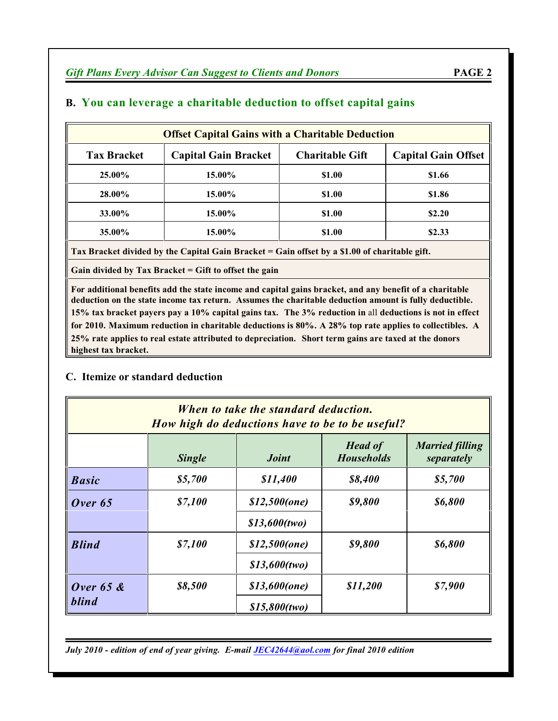| <b>Offset Capital Gains with a Charitable Deduction</b> |                             |                        |                            |  |
|---------------------------------------------------------|-----------------------------|------------------------|----------------------------|--|
| <b>Tax Bracket</b>                                      | <b>Capital Gain Bracket</b> | <b>Charitable Gift</b> | <b>Capital Gain Offset</b> |  |
| 25.00%                                                  | 15.00%                      | \$1.00                 | \$1.66                     |  |
| 28.00%                                                  | 15.00%                      | \$1.00                 | \$1.86                     |  |
| 33.00%                                                  | 15.00%                      | \$1.00                 | \$2.20                     |  |
| 35.00%                                                  | 15.00%                      | \$1.00                 | \$2.33                     |  |

## **B. You can leverage a charitable deduction to offset capital gains**

**Tax Bracket divided by the Capital Gain Bracket = Gain offset by a \$1.00 of charitable gift.**

**Gain divided by Tax Bracket = Gift to offset the gain**

**For additional benefits add the state income and capital gains bracket, and any benefit of a charitable deduction on the state income tax return. Assumes the charitable deduction amount is fully deductible. 15% tax bracket payers pay a 10% capital gains tax. The 3% reduction in** all **deductions is not in effect for 2010. Maximum reduction in charitable deductions is 80%. A 28% top rate applies to collectibles. A 25% rate applies to real estate attributed to depreciation. Short term gains are taxed at the donors highest tax bracket.**

## **C. Itemize or standard deduction**

| When to take the standard deduction.<br>How high do deductions have to be to be useful? |               |                     |                                     |                                      |
|-----------------------------------------------------------------------------------------|---------------|---------------------|-------------------------------------|--------------------------------------|
|                                                                                         | <b>Single</b> | <i><b>Joint</b></i> | <b>Head of</b><br><b>Households</b> | <b>Married filling</b><br>separately |
| <b>Basic</b>                                                                            | \$5,700       | \$11,400            | \$8,400                             | \$5,700                              |
| Over $65$                                                                               | \$7,100       | $$12,500$ (one)     | \$9,800                             | \$6,800                              |
|                                                                                         |               | $$13,600$ (two)     |                                     |                                      |
| <b>Blind</b>                                                                            | \$7,100       | $$12,500$ (one)     | \$9,800                             | \$6,800                              |
|                                                                                         |               | $$13,600$ (two)     |                                     |                                      |
| Over $65$ &                                                                             | \$8,500       | $$13,600$ (one)     | \$11,200                            | \$7,900                              |
| <b>blind</b>                                                                            |               | $$15,800$ (two)     |                                     |                                      |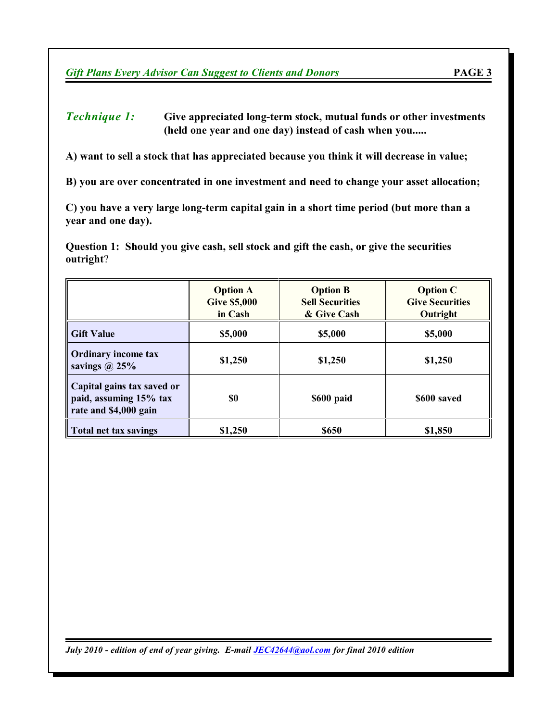#### *Technique 1:* **Give appreciated long-term stock, mutual funds or other investments (held one year and one day) instead of cash when you.....**

**A) want to sell a stock that has appreciated because you think it will decrease in value;**

**B) you are over concentrated in one investment and need to change your asset allocation;**

**C) you have a very large long-term capital gain in a short time period (but more than a year and one day).**

**Question 1: Should you give cash, sell stock and gift the cash, or give the securities outright**?

|                                                                               | <b>Option A</b><br><b>Give \$5,000</b><br>in Cash | <b>Option B</b><br><b>Sell Securities</b><br>& Give Cash | <b>Option C</b><br><b>Give Securities</b><br>Outright |
|-------------------------------------------------------------------------------|---------------------------------------------------|----------------------------------------------------------|-------------------------------------------------------|
| <b>Gift Value</b>                                                             | \$5,000                                           | \$5,000                                                  | \$5,000                                               |
| <b>Ordinary income tax</b><br>savings $\omega$ 25%                            | \$1,250                                           | \$1,250                                                  | \$1,250                                               |
| Capital gains tax saved or<br>paid, assuming 15% tax<br>rate and \$4,000 gain | \$0                                               | \$600 paid                                               | \$600 saved                                           |
| Total net tax savings                                                         | \$1,250                                           | \$650                                                    | \$1,850                                               |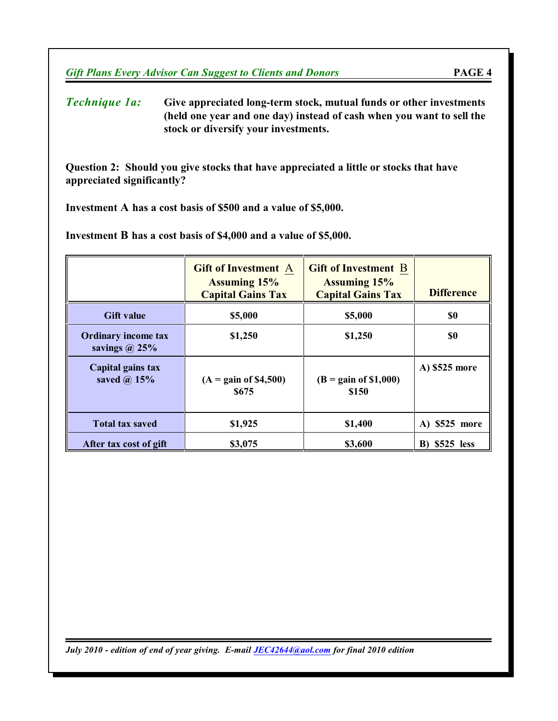*Technique 1a:* **Give appreciated long-term stock, mutual funds or other investments (held one year and one day) instead of cash when you want to sell the stock or diversify your investments.**

**Question 2: Should you give stocks that have appreciated a little or stocks that have appreciated significantly?** 

**Investment A has a cost basis of \$500 and a value of \$5,000.**

**Investment B has a cost basis of \$4,000 and a value of \$5,000.**

|                                                    | <b>Gift of Investment A</b><br><b>Assuming 15%</b><br><b>Capital Gains Tax</b> | <b>Gift of Investment B</b><br><b>Assuming 15%</b><br><b>Capital Gains Tax</b> | <b>Difference</b> |
|----------------------------------------------------|--------------------------------------------------------------------------------|--------------------------------------------------------------------------------|-------------------|
| <b>Gift value</b>                                  | \$5,000                                                                        | \$5,000                                                                        | \$0               |
| <b>Ordinary income tax</b><br>savings $\omega$ 25% | \$1,250                                                                        | \$1,250                                                                        | \$0               |
| Capital gains tax<br>saved $\omega$ 15%            | $(A = gain of $4,500)$<br>\$675                                                | $(B = gain of $1,000)$<br>\$150                                                | A) \$525 more     |
| <b>Total tax saved</b>                             | \$1,925                                                                        | \$1,400                                                                        | A) \$525 more     |
| After tax cost of gift                             | \$3,075                                                                        | \$3,600                                                                        | $$525$ less<br>B) |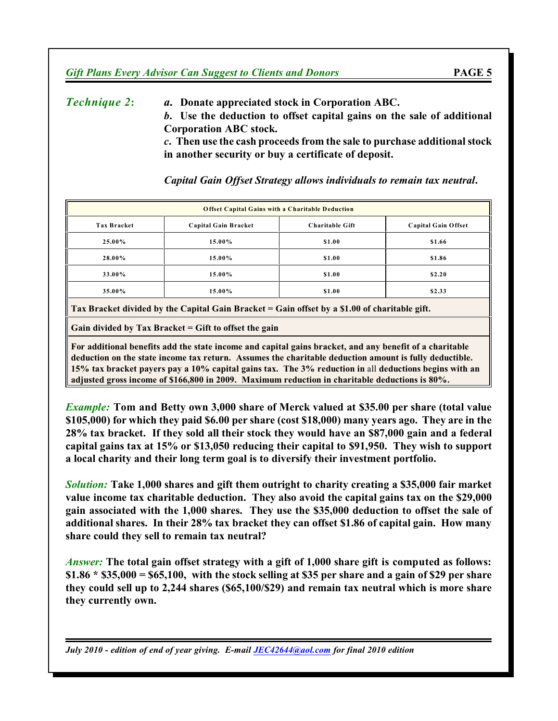*Technique 2***:** *a.* **Donate appreciated stock in Corporation ABC.** *b***. Use the deduction to offset capital gains on the sale of additional Corporation ABC stock.** *c***. Then use the cash proceeds from the sale to purchase additionalstock in another security or buy a certificate of deposit.**

**Offset Capital Gains with a Charitable Deduction Tax Bracket Capital Gain Bracket Charitable Gift Capital Gain Offset 25.00% 15.00% \$1.00 \$1.66 28.00% 15.00% \$1.00 \$1.86 33.00% 15.00% \$1.00 \$2.20 35.00% 15.00% \$1.00 \$2.33**

*Capital Gain Offset Strategy allows individuals to remain tax neutral***.**

**Tax Bracket divided by the Capital Gain Bracket = Gain offset by a \$1.00 of charitable gift.**

**Gain divided by Tax Bracket = Gift to offset the gain**

**For additional benefits add the state income and capital gains bracket, and any benefit of a charitable deduction on the state income tax return. Assumes the charitable deduction amount is fully deductible. 15% tax bracket payers pay a 10% capital gains tax. The 3% reduction in** all **deductions begins with an adjusted gross income of \$166,800 in 2009. Maximum reduction in charitable deductions is 80%.**

*Example:* **Tom and Betty own 3,000 share of Merck valued at \$35.00 per share (total value \$105,000) for which they paid \$6.00 per share (cost \$18,000) many years ago. They are in the 28% tax bracket. If they sold all their stock they would have an \$87,000 gain and a federal capital gains tax at 15% or \$13,050 reducing their capital to \$91,950. They wish to support a local charity and their long term goal is to diversify their investment portfolio.**

*Solution:* **Take 1,000 shares and gift them outright to charity creating a \$35,000 fair market value income tax charitable deduction. They also avoid the capital gains tax on the \$29,000 gain associated with the 1,000 shares. They use the \$35,000 deduction to offset the sale of additional shares. In their 28% tax bracket they can offset \$1.86 of capital gain. How many share could they sell to remain tax neutral?**

*Answer:* **The total gain offset strategy with a gift of 1,000 share gift is computed as follows: \$1.86 \* \$35,000 = \$65,100, with the stock selling at \$35 per share and a gain of \$29 per share they could sell up to 2,244 shares (\$65,100/\$29) and remain tax neutral which is more share they currently own.**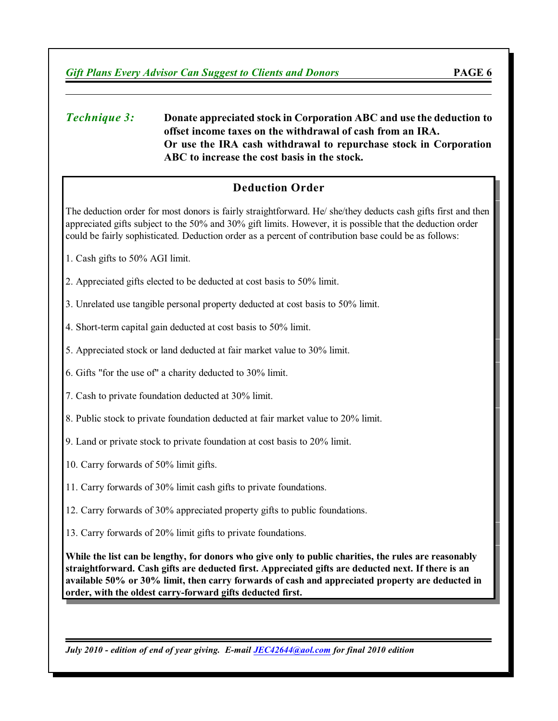#### *Technique 3:* **Donate appreciated stock in Corporation ABC and use the deduction to offset income taxes on the withdrawal of cash from an IRA. Or use the IRA cash withdrawal to repurchase stock in Corporation ABC to increase the cost basis in the stock.**

## **Deduction Order**

The deduction order for most donors is fairly straightforward. He/ she/they deducts cash gifts first and then appreciated gifts subject to the 50% and 30% gift limits. However, it is possible that the deduction order could be fairly sophisticated. Deduction order as a percent of contribution base could be as follows:

- 1. Cash gifts to 50% AGI limit.
- 2. Appreciated gifts elected to be deducted at cost basis to 50% limit.

3. Unrelated use tangible personal property deducted at cost basis to 50% limit.

- 4. Short-term capital gain deducted at cost basis to 50% limit.
- 5. Appreciated stock or land deducted at fair market value to 30% limit.
- 6. Gifts "for the use of" a charity deducted to 30% limit.
- 7. Cash to private foundation deducted at 30% limit.
- 8. Public stock to private foundation deducted at fair market value to 20% limit.
- 9. Land or private stock to private foundation at cost basis to 20% limit.
- 10. Carry forwards of 50% limit gifts.
- 11. Carry forwards of 30% limit cash gifts to private foundations.
- 12. Carry forwards of 30% appreciated property gifts to public foundations.
- 13. Carry forwards of 20% limit gifts to private foundations.

**While the list can be lengthy, for donors who give only to public charities, the rules are reasonably straightforward. Cash gifts are deducted first. Appreciated gifts are deducted next. If there is an available 50% or 30% limit, then carry forwards of cash and appreciated property are deducted in order, with the oldest carry-forward gifts deducted first.**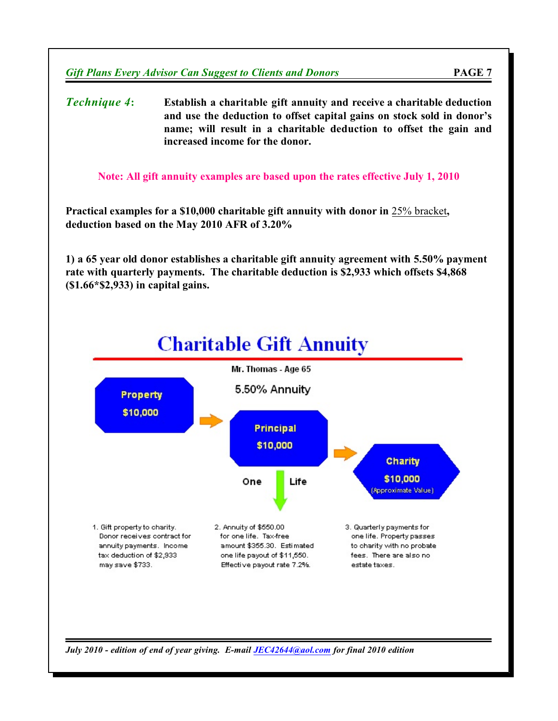*Technique 4***: Establish a charitable gift annuity and receive a charitable deduction and use the deduction to offset capital gains on stock sold in donor's name; will result in a charitable deduction to offset the gain and increased income for the donor.**

**Note: All gift annuity examples are based upon the rates effective July 1, 2010**

**Practical examples for a \$10,000 charitable gift annuity with donor in** 25% bracket**, deduction based on the May 2010 AFR of 3.20%**

**1) a 65 year old donor establishes a charitable gift annuity agreement with 5.50% payment rate with quarterly payments. The charitable deduction is \$2,933 which offsets \$4,868 (\$1.66\*\$2,933) in capital gains.**

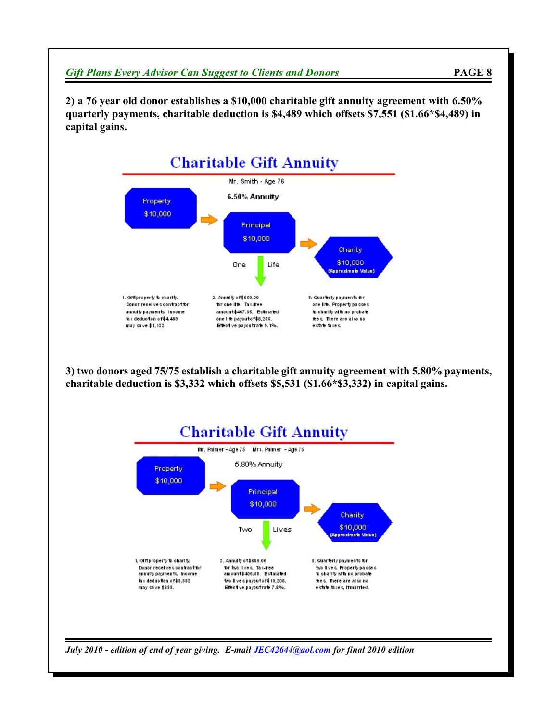

**3) two donors aged 75/75 establish a charitable gift annuity agreement with 5.80% payments, charitable deduction is \$3,332 which offsets \$5,531 (\$1.66\*\$3,332) in capital gains.**



*July 2010 - edition of end of year giving. E-mail [JEC42644@aol.com](mailto:JEC42644@aol.com) for final 2010 edition*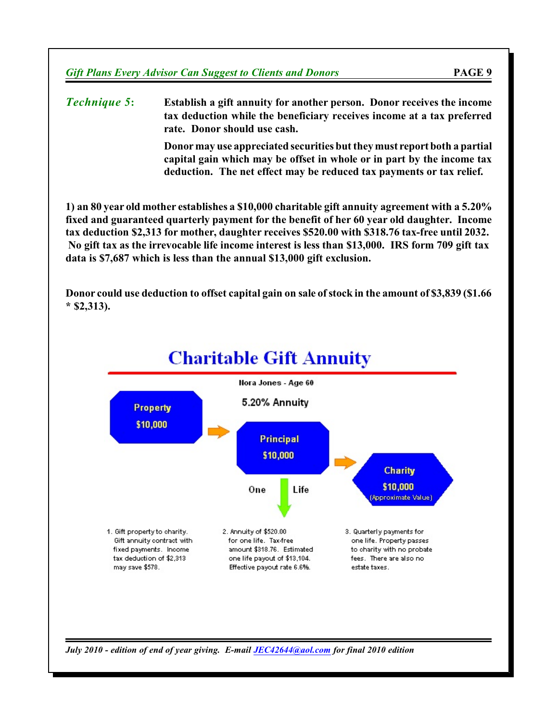*Technique 5***: Establish a gift annuity for another person. Donor receives the income tax deduction while the beneficiary receives income at a tax preferred rate. Donor should use cash.**

> **Donormay use appreciated securities but they must report both a partial capital gain which may be offset in whole or in part by the income tax deduction. The net effect may be reduced tax payments or tax relief.**

**1) an 80 year old mother establishes a \$10,000 charitable gift annuity agreement with a 5.20% fixed and guaranteed quarterly payment for the benefit of her 60 year old daughter. Income tax deduction \$2,313 for mother, daughter receives \$520.00 with \$318.76 tax-free until 2032. No gift tax as the irrevocable life income interest is less than \$13,000. IRS form 709 gift tax data is \$7,687 which is less than the annual \$13,000 gift exclusion.**

**Donor could use deduction to offset capital gain on sale ofstock in the amount of \$3,839 (\$1.66 \* \$2,313).**

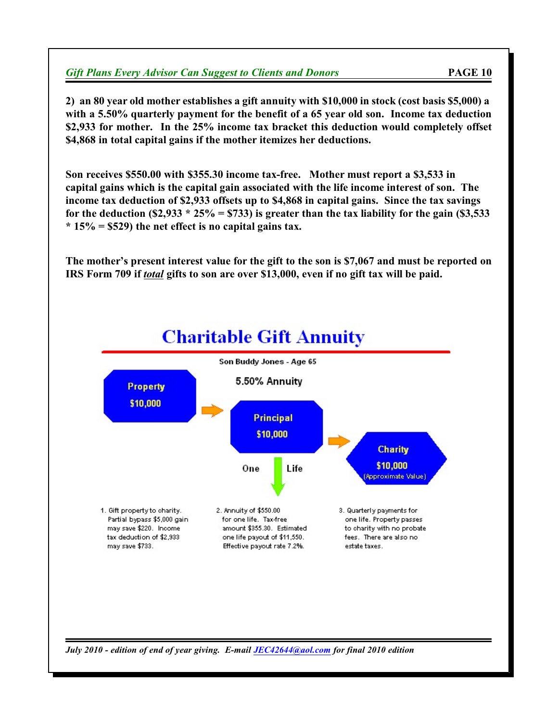**2) an 80 year old mother establishes a gift annuity with \$10,000 in stock (cost basis \$5,000) a with a 5.50% quarterly payment for the benefit of a 65 year old son. Income tax deduction \$2,933 for mother. In the 25% income tax bracket this deduction would completely offset \$4,868 in total capital gains if the mother itemizes her deductions.**

**Son receives \$550.00 with \$355.30 income tax-free. Mother must report a \$3,533 in capital gains which is the capital gain associated with the life income interest of son. The income tax deduction of \$2,933 offsets up to \$4,868 in capital gains. Since the tax savings for the deduction (\$2,933 \* 25% = \$733) is greater than the tax liability for the gain (\$3,533 \* 15% = \$529) the net effect is no capital gains tax.**

**The mother's present interest value for the gift to the son is \$7,067 and must be reported on IRS Form 709 if** *total* **gifts to son are over \$13,000, even if no gift tax will be paid.**

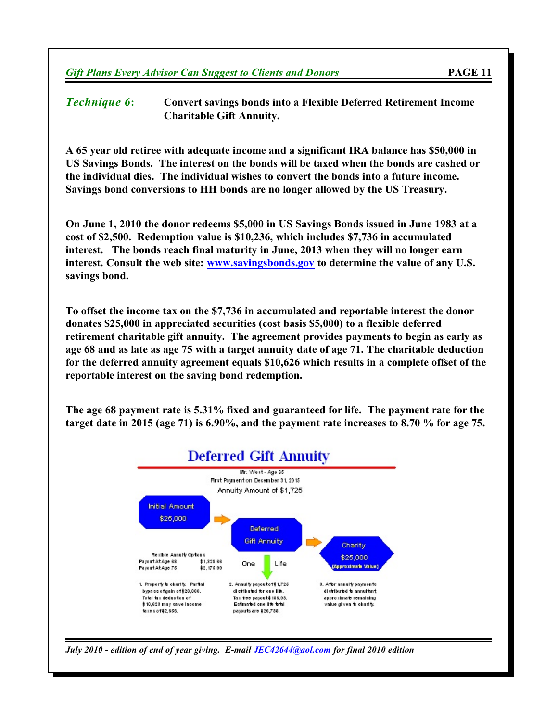*Technique 6***: Convert savings bonds into a Flexible Deferred Retirement Income Charitable Gift Annuity.**

**A 65 year old retiree with adequate income and a significant IRA balance has \$50,000 in US Savings Bonds. The interest on the bonds will be taxed when the bonds are cashed or the individual dies. The individual wishes to convert the bonds into a future income. Savings bond conversions to HH bonds are no longer allowed by the US Treasury.**

**On June 1, 2010 the donor redeems \$5,000 in US Savings Bonds issued in June 1983 at a cost of \$2,500. Redemption value is \$10,236, which includes \$7,736 in accumulated interest. The bonds reach final maturity in June, 2013 when they will no longer earn interest. Consult the web site: [www.savingsbonds.gov](http://app.ny.frb.org/sbr/) to determine the value of any U.S. savings bond.**

**To offset the income tax on the \$7,736 in accumulated and reportable interest the donor donates \$25,000 in appreciated securities (cost basis \$5,000) to a flexible deferred retirement charitable gift annuity. The agreement provides payments to begin as early as age 68 and as late as age 75 with a target annuity date of age 71. The charitable deduction for the deferred annuity agreement equals \$10,626 which results in a complete offset of the reportable interest on the saving bond redemption.**

**The age 68 payment rate is 5.31% fixed and guaranteed for life. The payment rate for the target date in 2015 (age 71) is 6.90%, and the payment rate increases to 8.70 % for age 75.**



*July 2010 - edition of end of year giving. E-mail [JEC42644@aol.com](mailto:JEC42644@aol.com) for final 2010 edition*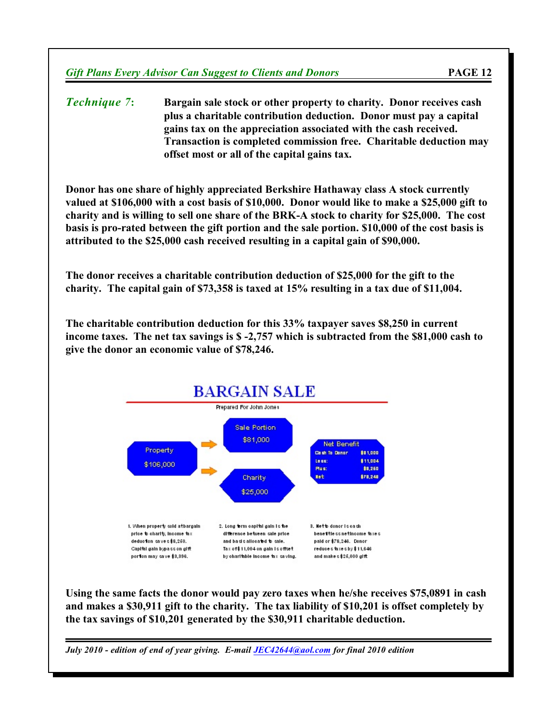*Technique 7***: Bargain sale stock or other property to charity. Donor receives cash plus a charitable contribution deduction. Donor must pay a capital gains tax on the appreciation associated with the cash received. Transaction is completed commission free. Charitable deduction may offset most or all of the capital gains tax.**

**Donor has one share of highly appreciated Berkshire Hathaway class A stock currently valued at \$106,000 with a cost basis of \$10,000. Donor would like to make a \$25,000 gift to charity and is willing to sell one share of the BRK-A stock to charity for \$25,000. The cost basis is pro-rated between the gift portion and the sale portion. \$10,000 of the cost basis is attributed to the \$25,000 cash received resulting in a capital gain of \$90,000.**

**The donor receives a charitable contribution deduction of \$25,000 for the gift to the charity. The capital gain of \$73,358 is taxed at 15% resulting in a tax due of \$11,004.**

**The charitable contribution deduction for this 33% taxpayer saves \$8,250 in current income taxes. The net tax savings is \$ -2,757 which is subtracted from the \$81,000 cash to give the donor an economic value of \$78,246.**



**Using the same facts the donor would pay zero taxes when he/she receives \$75,0891 in cash and makes a \$30,911 gift to the charity. The tax liability of \$10,201 is offset completely by the tax savings of \$10,201 generated by the \$30,911 charitable deduction.**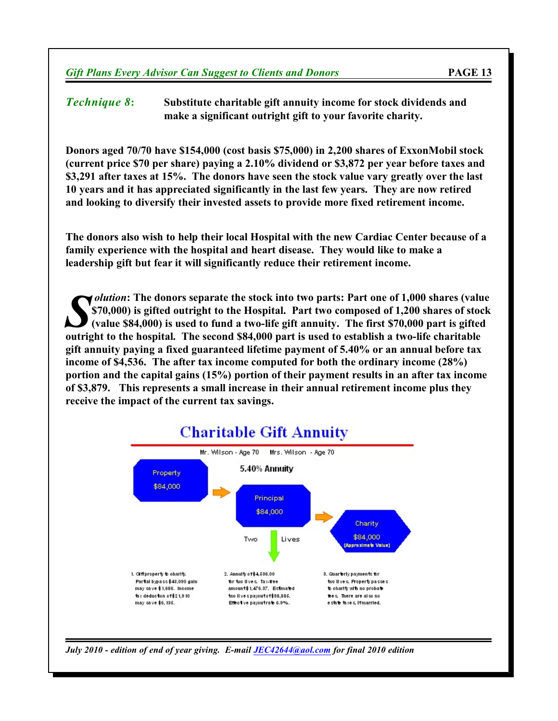*Technique 8***: Substitute charitable gift annuity income for stock dividends and make a significant outright gift to your favorite charity.**

**Donors aged 70/70 have \$154,000 (cost basis \$75,000) in 2,200 shares of ExxonMobil stock (current price \$70 per share) paying a 2.10% dividend or \$3,872 per year before taxes and \$3,291 after taxes at 15%. The donors have seen the stock value vary greatly over the last 10 years and it has appreciated significantly in the last few years. They are now retired and looking to diversify their invested assets to provide more fixed retirement income.**

**The donors also wish to help their local Hospital with the new Cardiac Center because of a family experience with the hospital and heart disease. They would like to make a leadership gift but fear it will significantly reduce their retirement income.**

**S** *S Outtion*: The donors separate the stock into two parts: Part one of 1,000 shares (value \$84,000) is gifted outright to the Hospital. Part two composed of 1,200 shares of sto (value \$84,000) is used to fund a two-l *olution***: The donors separate the stock into two parts: Part one of 1,000 shares (value \$70,000) is gifted outright to the Hospital. Part two composed of 1,200 shares of stock (value \$84,000) is used to fund a two-life gift annuity. The first \$70,000 part is gifted gift annuity paying a fixed guaranteed lifetime payment of 5.40% or an annual before tax income of \$4,536. The after tax income computed for both the ordinary income (28%) portion and the capital gains (15%) portion of their payment results in an after tax income of \$3,879. This represents a small increase in their annual retirement income plus they receive the impact of the current tax savings.**



*July 2010 - edition of end of year giving. E-mail [JEC42644@aol.com](mailto:JEC42644@aol.com) for final 2010 edition*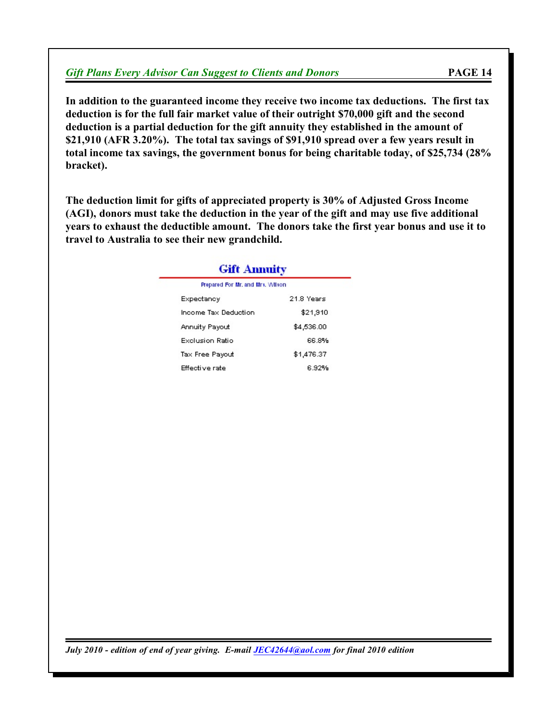|  |  |  | <b>Gift Plans Every Advisor Can Suggest to Clients and Donors</b> | PAGE 14 |
|--|--|--|-------------------------------------------------------------------|---------|
|--|--|--|-------------------------------------------------------------------|---------|

**In addition to the guaranteed income they receive two income tax deductions. The first tax deduction is for the full fair market value of their outright \$70,000 gift and the second deduction is a partial deduction for the gift annuity they established in the amount of \$21,910 (AFR 3.20%). The total tax savings of \$91,910 spread over a few years result in total income tax savings, the government bonus for being charitable today, of \$25,734 (28% bracket).**

**The deduction limit for gifts of appreciated property is 30% of Adjusted Gross Income (AGI), donors must take the deduction in the year of the gift and may use five additional years to exhaust the deductible amount. The donors take the first year bonus and use it to travel to Australia to see their new grandchild.**

| <b>Gift Annuity</b>              |            |  |  |  |
|----------------------------------|------------|--|--|--|
| Prepared For Mr. and Mrs. Wilson |            |  |  |  |
| Expectancy                       | 21.8 Years |  |  |  |
| Income Tax Deduction             | \$21,910   |  |  |  |
| Annuity Payout                   | \$4,536.00 |  |  |  |
| Exclusion Ratio                  | 66.8%      |  |  |  |
| Tax Free Payout                  | \$1,476.37 |  |  |  |
| Effective rate                   | 6.92%      |  |  |  |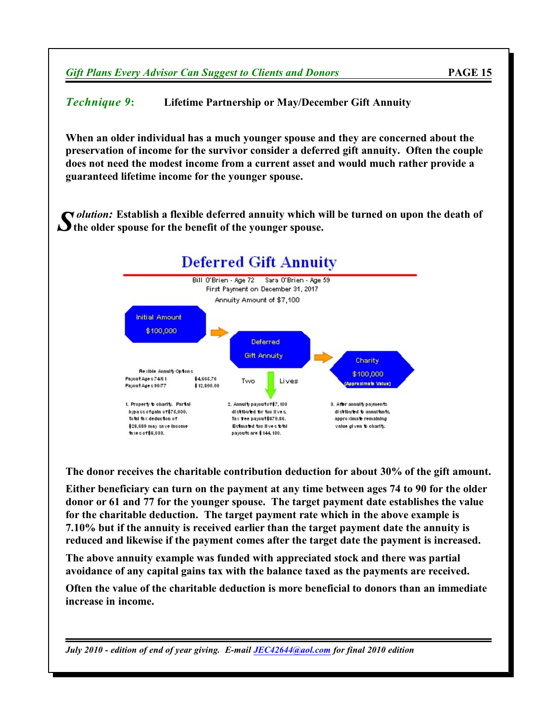*Technique 9***: Lifetime Partnership or May/December Gift Annuity**

**When an older individual has a much younger spouse and they are concerned about the preservation of income for the survivor consider a deferred gift annuity. Often the couple does not need the modest income from a current asset and would much rather provide a guaranteed lifetime income for the younger spouse.**

*S* **the older spouse for the benefit of the younger spouse.** *olution:* **Establish a flexible deferred annuity which will be turned on upon the death of**



**The donor receives the charitable contribution deduction for about 30% of the gift amount.**

**Either beneficiary can turn on the payment at any time between ages 74 to 90 for the older donor or 61 and 77 for the younger spouse. The target payment date establishes the value for the charitable deduction. The target payment rate which in the above example is 7.10% but if the annuity is received earlier than the target payment date the annuity is reduced and likewise if the payment comes after the target date the payment is increased.**

**The above annuity example was funded with appreciated stock and there was partial avoidance of any capital gains tax with the balance taxed as the payments are received.**

**Often the value of the charitable deduction is more beneficial to donors than an immediate increase in income.**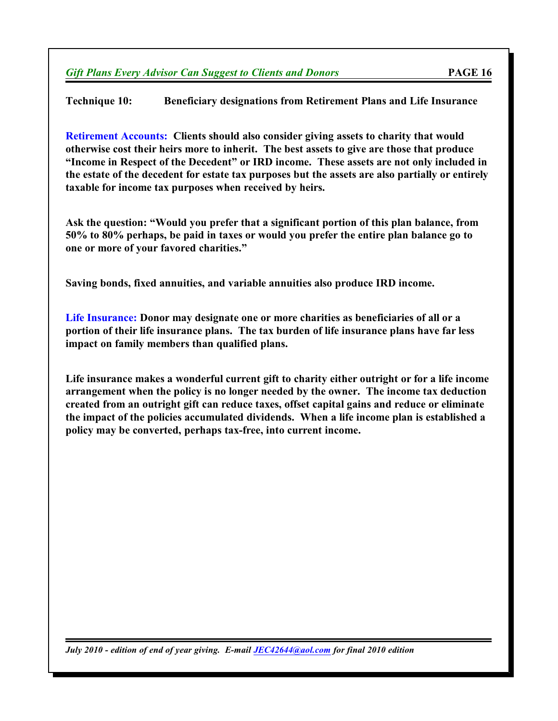**Technique 10: Beneficiary designations from Retirement Plans and Life Insurance**

**Retirement Accounts: Clients should also consider giving assets to charity that would otherwise cost their heirs more to inherit. The best assets to give are those that produce "Income in Respect of the Decedent" or IRD income. These assets are not only included in the estate of the decedent for estate tax purposes but the assets are also partially or entirely taxable for income tax purposes when received by heirs.**

**Ask the question: "Would you prefer that a significant portion of this plan balance, from 50% to 80% perhaps, be paid in taxes or would you prefer the entire plan balance go to one or more of your favored charities."**

**Saving bonds, fixed annuities, and variable annuities also produce IRD income.**

**Life Insurance: Donor may designate one or more charities as beneficiaries of all or a portion of their life insurance plans. The tax burden of life insurance plans have far less impact on family members than qualified plans.**

**Life insurance makes a wonderful current gift to charity either outright or for a life income arrangement when the policy is no longer needed by the owner. The income tax deduction created from an outright gift can reduce taxes, offset capital gains and reduce or eliminate the impact of the policies accumulated dividends. When a life income plan is established a policy may be converted, perhaps tax-free, into current income.**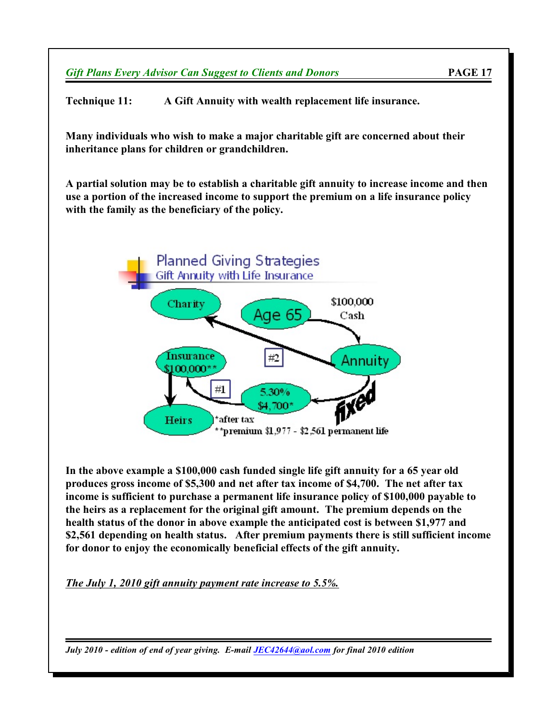**Technique 11: A Gift Annuity with wealth replacement life insurance.**

**Many individuals who wish to make a major charitable gift are concerned about their inheritance plans for children or grandchildren.**

**A partial solution may be to establish a charitable gift annuity to increase income and then use a portion of the increased income to support the premium on a life insurance policy with the family as the beneficiary of the policy.**



**In the above example a \$100,000 cash funded single life gift annuity for a 65 year old produces gross income of \$5,300 and net after tax income of \$4,700. The net after tax income is sufficient to purchase a permanent life insurance policy of \$100,000 payable to the heirs as a replacement for the original gift amount. The premium depends on the health status of the donor in above example the anticipated cost is between \$1,977 and \$2,561 depending on health status. After premium payments there is still sufficient income for donor to enjoy the economically beneficial effects of the gift annuity.**

*The July 1, 2010 gift annuity payment rate increase to 5.5%.*